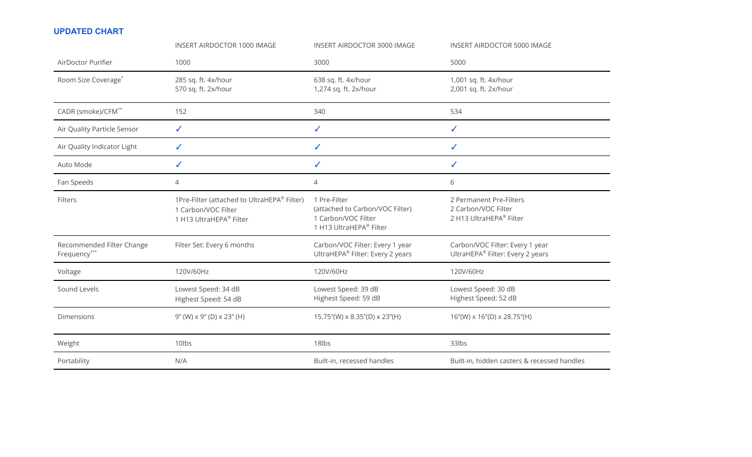## **UPDATED CHART**

|                                           | <b>INSERT AIRDOCTOR 1000 IMAGE</b>                                                            | <b>INSERT AIRDOCTOR 3000 IMAGE</b>                                                                | <b>INSERT AIRDOCTOR 5000 IMAGE</b>                                        |
|-------------------------------------------|-----------------------------------------------------------------------------------------------|---------------------------------------------------------------------------------------------------|---------------------------------------------------------------------------|
| AirDoctor Purifier                        | 1000                                                                                          | 3000                                                                                              | 5000                                                                      |
| Room Size Coverage <sup>*</sup>           | 285 sq. ft. 4x/hour<br>570 sq. ft. 2x/hour                                                    | 638 sq. ft. 4x/hour<br>1,274 sq. ft. 2x/hour                                                      | 1,001 sq. ft. 4x/hour<br>2,001 sq. ft. 2x/hour                            |
| CADR (smoke)/CFM <sup>**</sup>            | 152                                                                                           | 340                                                                                               | 534                                                                       |
| Air Quality Particle Sensor               | $\checkmark$                                                                                  | $\checkmark$                                                                                      | $\checkmark$                                                              |
| Air Quality Indicator Light               | $\checkmark$                                                                                  | $\checkmark$                                                                                      | $\checkmark$                                                              |
| Auto Mode                                 | $\checkmark$                                                                                  | $\checkmark$                                                                                      | ✓                                                                         |
| Fan Speeds                                | 4                                                                                             | 4                                                                                                 | 6                                                                         |
| Filters                                   | 1Pre-Filter (attached to UltraHEPA® Filter)<br>1 Carbon/VOC Filter<br>1 H13 UltraHEPA® Filter | 1 Pre-Filter<br>(attached to Carbon/VOC Filter)<br>1 Carbon/VOC Filter<br>1 H13 UltraHEPA® Filter | 2 Permanent Pre-Filters<br>2 Carbon/VOC Filter<br>2 H13 UltraHEPA® Filter |
| Recommended Filter Change<br>Frequency*** | Filter Set: Every 6 months                                                                    | Carbon/VOC Filter: Every 1 year<br>UltraHEPA® Filter: Every 2 years                               | Carbon/VOC Filter: Every 1 year<br>UltraHEPA® Filter: Every 2 years       |
| Voltage                                   | 120V/60Hz                                                                                     | 120V/60Hz                                                                                         | 120V/60Hz                                                                 |
| Sound Levels                              | Lowest Speed: 34 dB<br>Highest Speed: 54 dB                                                   | Lowest Speed: 39 dB<br>Highest Speed: 59 dB                                                       | Lowest Speed: 30 dB<br>Highest Speed: 52 dB                               |
| Dimensions                                | $9''$ (W) $\times$ 9" (D) $\times$ 23" (H)                                                    | 15.75"(W) x 8.35"(D) x 23"(H)                                                                     | $16''(W) \times 16''(D) \times 28.75''(H)$                                |
| Weight                                    | 10lbs                                                                                         | 18lbs                                                                                             | 33lbs                                                                     |
| Portability                               | N/A                                                                                           | Built-in, recessed handles                                                                        | Built-in, hidden casters & recessed handles                               |